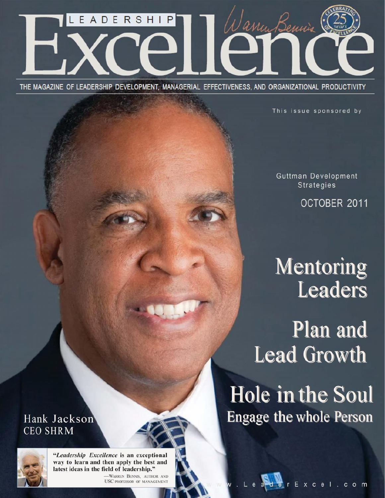

THE MAGAZINE OF LEADERSHIP DEVELOPMENT, MANAGERIAL EFFECTIVENESS, AND ORGANIZATIONAL PRODUCTIVITY

This issue sponsored by

Guttman Development **Strategies** 

OCTOBER 2011

# Mentoring Leaders

**Plan and Lead Growth** 

Hole in the Soul **Engage the whole Person** 

# Hank Jackson **CEO SHRM**



"Leadership Excellence is an exceptional way to learn and then apply the best and latest ideas in the field of leadership."

-WARREN BENNIS, AUTHOR AND USC PROFESSOR OF MANAGEMENT